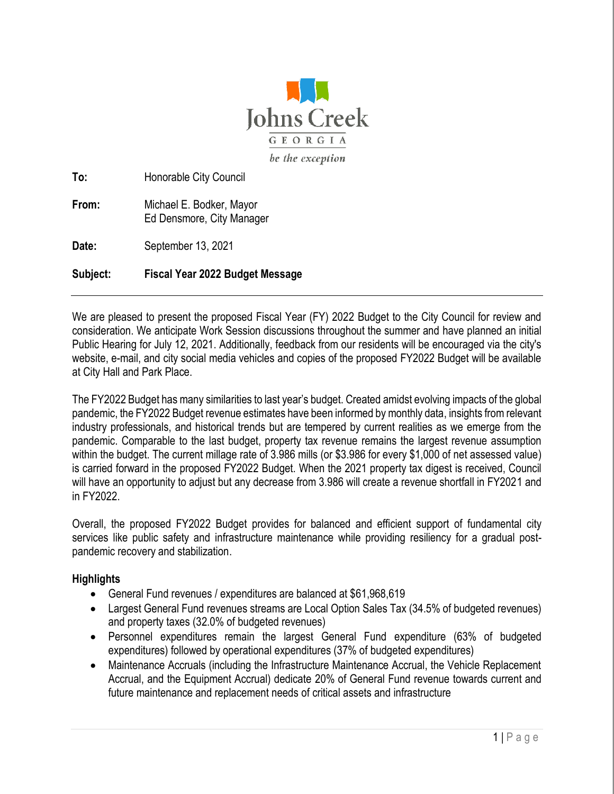

**To:** Honorable City Council **From:** Michael E. Bodker, Mayor Ed Densmore, City Manager

**Date:** September 13, 2021

**Subject: Fiscal Year 2022 Budget Message**

We are pleased to present the proposed Fiscal Year (FY) 2022 Budget to the City Council for review and consideration. We anticipate Work Session discussions throughout the summer and have planned an initial Public Hearing for July 12, 2021. Additionally, feedback from our residents will be encouraged via the city's website, e-mail, and city social media vehicles and copies of the proposed FY2022 Budget will be available at City Hall and Park Place.

The FY2022 Budget has many similarities to last year's budget. Created amidst evolving impacts of the global pandemic, the FY2022 Budget revenue estimates have been informed by monthly data, insights from relevant industry professionals, and historical trends but are tempered by current realities as we emerge from the pandemic. Comparable to the last budget, property tax revenue remains the largest revenue assumption within the budget. The current millage rate of 3.986 mills (or \$3.986 for every \$1,000 of net assessed value) is carried forward in the proposed FY2022 Budget. When the 2021 property tax digest is received, Council will have an opportunity to adjust but any decrease from 3.986 will create a revenue shortfall in FY2021 and in FY2022.

Overall, the proposed FY2022 Budget provides for balanced and efficient support of fundamental city services like public safety and infrastructure maintenance while providing resiliency for a gradual postpandemic recovery and stabilization.

#### **Highlights**

- General Fund revenues / expenditures are balanced at \$61,968,619
- Largest General Fund revenues streams are Local Option Sales Tax (34.5% of budgeted revenues) and property taxes (32.0% of budgeted revenues)
- Personnel expenditures remain the largest General Fund expenditure (63% of budgeted expenditures) followed by operational expenditures (37% of budgeted expenditures)
- Maintenance Accruals (including the Infrastructure Maintenance Accrual, the Vehicle Replacement Accrual, and the Equipment Accrual) dedicate 20% of General Fund revenue towards current and future maintenance and replacement needs of critical assets and infrastructure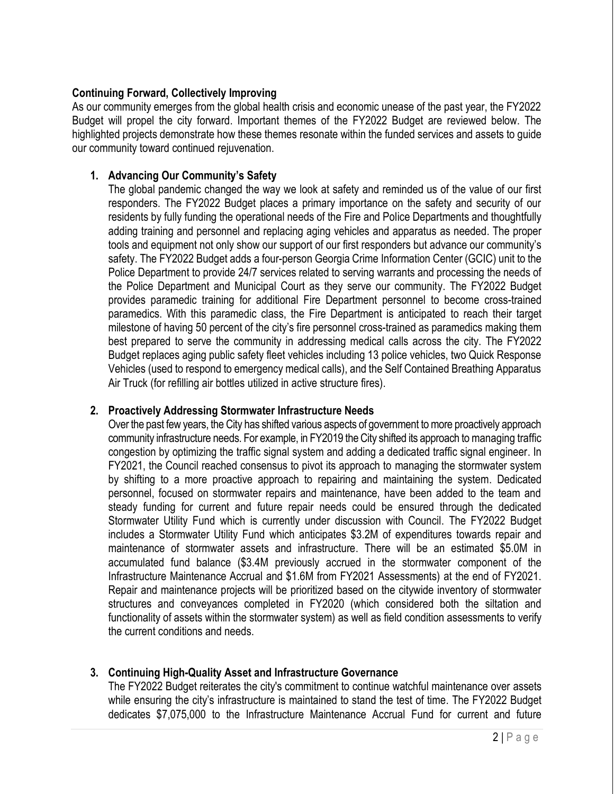## **Continuing Forward, Collectively Improving**

As our community emerges from the global health crisis and economic unease of the past year, the FY2022 Budget will propel the city forward. Important themes of the FY2022 Budget are reviewed below. The highlighted projects demonstrate how these themes resonate within the funded services and assets to guide our community toward continued rejuvenation.

## **1. Advancing Our Community's Safety**

The global pandemic changed the way we look at safety and reminded us of the value of our first responders. The FY2022 Budget places a primary importance on the safety and security of our residents by fully funding the operational needs of the Fire and Police Departments and thoughtfully adding training and personnel and replacing aging vehicles and apparatus as needed. The proper tools and equipment not only show our support of our first responders but advance our community's safety. The FY2022 Budget adds a four-person Georgia Crime Information Center (GCIC) unit to the Police Department to provide 24/7 services related to serving warrants and processing the needs of the Police Department and Municipal Court as they serve our community. The FY2022 Budget provides paramedic training for additional Fire Department personnel to become cross-trained paramedics. With this paramedic class, the Fire Department is anticipated to reach their target milestone of having 50 percent of the city's fire personnel cross-trained as paramedics making them best prepared to serve the community in addressing medical calls across the city. The FY2022 Budget replaces aging public safety fleet vehicles including 13 police vehicles, two Quick Response Vehicles (used to respond to emergency medical calls), and the Self Contained Breathing Apparatus Air Truck (for refilling air bottles utilized in active structure fires).

#### **2. Proactively Addressing Stormwater Infrastructure Needs**

Over the past few years, the City has shifted various aspects of government to more proactively approach community infrastructure needs. For example, in FY2019 the City shifted its approach to managing traffic congestion by optimizing the traffic signal system and adding a dedicated traffic signal engineer. In FY2021, the Council reached consensus to pivot its approach to managing the stormwater system by shifting to a more proactive approach to repairing and maintaining the system. Dedicated personnel, focused on stormwater repairs and maintenance, have been added to the team and steady funding for current and future repair needs could be ensured through the dedicated Stormwater Utility Fund which is currently under discussion with Council. The FY2022 Budget includes a Stormwater Utility Fund which anticipates \$3.2M of expenditures towards repair and maintenance of stormwater assets and infrastructure. There will be an estimated \$5.0M in accumulated fund balance (\$3.4M previously accrued in the stormwater component of the Infrastructure Maintenance Accrual and \$1.6M from FY2021 Assessments) at the end of FY2021. Repair and maintenance projects will be prioritized based on the citywide inventory of stormwater structures and conveyances completed in FY2020 (which considered both the siltation and functionality of assets within the stormwater system) as well as field condition assessments to verify the current conditions and needs.

# **3. Continuing High-Quality Asset and Infrastructure Governance**

The FY2022 Budget reiterates the city's commitment to continue watchful maintenance over assets while ensuring the city's infrastructure is maintained to stand the test of time. The FY2022 Budget dedicates \$7,075,000 to the Infrastructure Maintenance Accrual Fund for current and future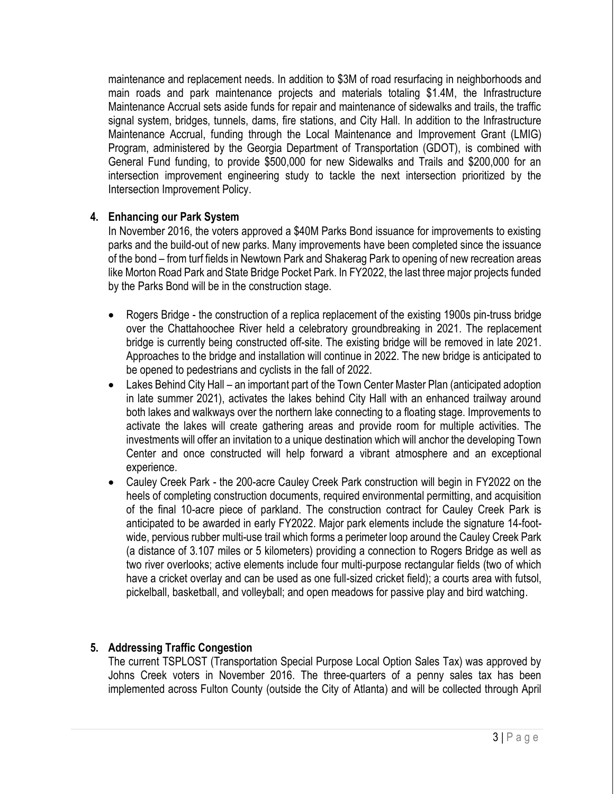maintenance and replacement needs. In addition to \$3M of road resurfacing in neighborhoods and main roads and park maintenance projects and materials totaling \$1.4M, the Infrastructure Maintenance Accrual sets aside funds for repair and maintenance of sidewalks and trails, the traffic signal system, bridges, tunnels, dams, fire stations, and City Hall. In addition to the Infrastructure Maintenance Accrual, funding through the Local Maintenance and Improvement Grant (LMIG) Program, administered by the Georgia Department of Transportation (GDOT), is combined with General Fund funding, to provide \$500,000 for new Sidewalks and Trails and \$200,000 for an intersection improvement engineering study to tackle the next intersection prioritized by the Intersection Improvement Policy.

## **4. Enhancing our Park System**

In November 2016, the voters approved a \$40M Parks Bond issuance for improvements to existing parks and the build-out of new parks. Many improvements have been completed since the issuance of the bond – from turf fields in Newtown Park and Shakerag Park to opening of new recreation areas like Morton Road Park and State Bridge Pocket Park. In FY2022, the last three major projects funded by the Parks Bond will be in the construction stage.

- Rogers Bridge the construction of a replica replacement of the existing 1900s pin-truss bridge over the Chattahoochee River held a celebratory groundbreaking in 2021. The replacement bridge is currently being constructed off-site. The existing bridge will be removed in late 2021. Approaches to the bridge and installation will continue in 2022. The new bridge is anticipated to be opened to pedestrians and cyclists in the fall of 2022.
- Lakes Behind City Hall an important part of the Town Center Master Plan (anticipated adoption in late summer 2021), activates the lakes behind City Hall with an enhanced trailway around both lakes and walkways over the northern lake connecting to a floating stage. Improvements to activate the lakes will create gathering areas and provide room for multiple activities. The investments will offer an invitation to a unique destination which will anchor the developing Town Center and once constructed will help forward a vibrant atmosphere and an exceptional experience.
- Cauley Creek Park the 200-acre Cauley Creek Park construction will begin in FY2022 on the heels of completing construction documents, required environmental permitting, and acquisition of the final 10-acre piece of parkland. The construction contract for Cauley Creek Park is anticipated to be awarded in early FY2022. Major park elements include the signature 14-footwide, pervious rubber multi-use trail which forms a perimeter loop around the Cauley Creek Park (a distance of 3.107 miles or 5 kilometers) providing a connection to Rogers Bridge as well as two river overlooks; active elements include four multi-purpose rectangular fields (two of which have a cricket overlay and can be used as one full-sized cricket field); a courts area with futsol, pickelball, basketball, and volleyball; and open meadows for passive play and bird watching.

# **5. Addressing Traffic Congestion**

The current TSPLOST (Transportation Special Purpose Local Option Sales Tax) was approved by Johns Creek voters in November 2016. The three-quarters of a penny sales tax has been implemented across Fulton County (outside the City of Atlanta) and will be collected through April